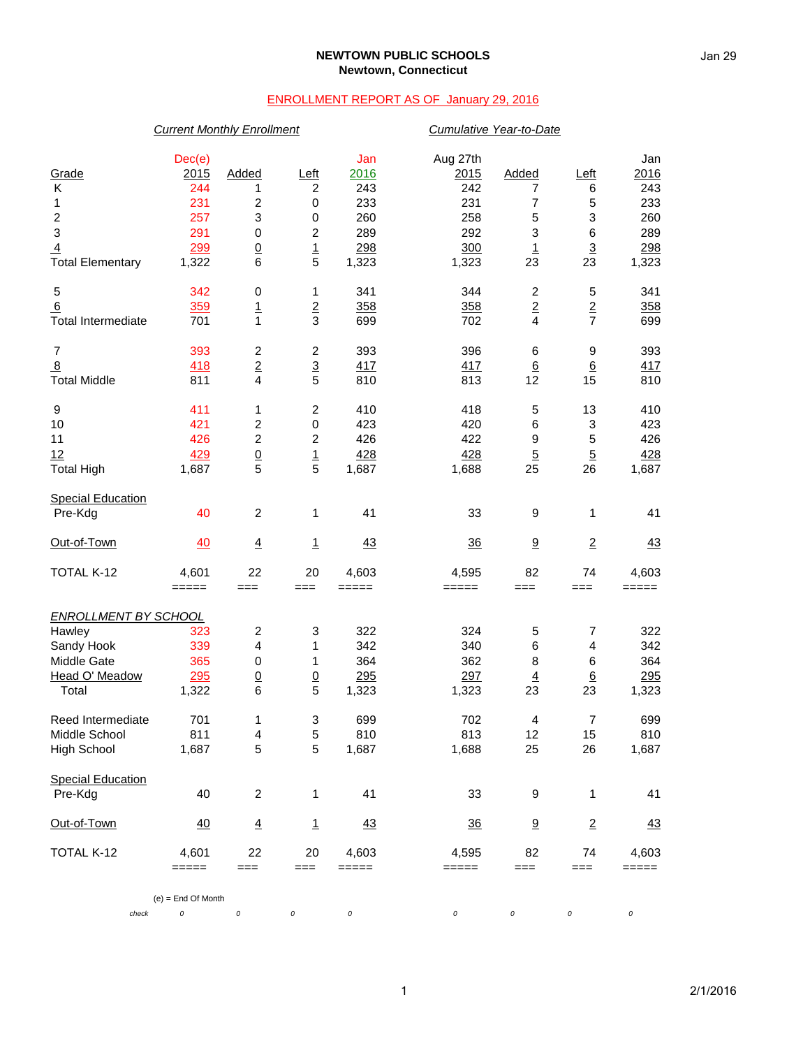## **NEWTOWN PUBLIC SCHOOLS Newtown, Connecticut**

## ENROLLMENT REPORT AS OF January 29, 2016

| <b>Current Monthly Enrollment</b> | Cumulative Year-to-Date |                         |                         |         |          |                         |                         |           |
|-----------------------------------|-------------------------|-------------------------|-------------------------|---------|----------|-------------------------|-------------------------|-----------|
|                                   | Dec(e)                  |                         |                         | Jan     | Aug 27th |                         |                         | Jan       |
| Grade                             | 2015                    | Added                   | Left                    | 2016    | 2015     | Added                   | Left                    | 2016      |
| Κ                                 | 244                     | 1                       | $\boldsymbol{2}$        | 243     | 242      | 7                       | 6                       | 243       |
| 1                                 | 231                     | 2                       | $\pmb{0}$               | 233     | 231      | $\overline{7}$          | 5                       | 233       |
| 2                                 | 257                     | 3                       | $\,0\,$                 | 260     | 258      | 5                       | 3                       | 260       |
| 3                                 | 291                     | $\pmb{0}$               | $\boldsymbol{2}$        | 289     | 292      | 3                       | $\,6$                   | 289       |
| $\overline{4}$                    | 299                     | $\underline{0}$         |                         | 298     | 300      | $\overline{1}$          | $\overline{3}$          | 298       |
| <b>Total Elementary</b>           | 1,322                   | $\,6$                   | $\frac{1}{5}$           | 1,323   | 1,323    | 23                      | 23                      | 1,323     |
| 5                                 | 342                     | 0                       | 1                       | 341     | 344      | $\overline{c}$          | 5                       | 341       |
| 6                                 | 359                     | $\overline{1}$          | $\mathbf 2$             | 358     | 358      | $\sqrt{2}$              | $\overline{2}$          | 358       |
| <b>Total Intermediate</b>         | 701                     | 1                       | 3                       | 699     | 702      | $\overline{4}$          | $\overline{7}$          | 699       |
| $\overline{7}$                    | 393                     | $\boldsymbol{2}$        | $\overline{\mathbf{c}}$ | 393     | 396      | 6                       | 9                       | 393       |
| $\overline{8}$                    | 418                     | $\overline{2}$          | $rac{3}{5}$             | 417     | 417      | $\underline{6}$         | $\underline{6}$         | 417       |
| <b>Total Middle</b>               | 811                     | 4                       |                         | 810     | 813      | 12                      | 15                      | 810       |
| 9                                 | 411                     | 1                       | $\boldsymbol{2}$        | 410     | 418      | 5                       | 13                      | 410       |
| 10                                | 421                     | 2                       | $\,0\,$                 | 423     | 420      | $\,6$                   | 3                       | 423       |
| 11                                | 426                     | $\boldsymbol{2}$        | $\boldsymbol{2}$        | 426     | 422      | $\boldsymbol{9}$        | 5                       | 426       |
| 12                                | 429                     | $\underline{0}$         | $\overline{1}$          | 428     | 428      | $\overline{5}$          | $\overline{5}$          | 428       |
| <b>Total High</b>                 | 1,687                   | 5                       | 5                       | 1,687   | 1,688    | 25                      | 26                      | 1,687     |
| <b>Special Education</b>          |                         |                         |                         |         |          |                         |                         |           |
| Pre-Kdg                           | 40                      | $\overline{2}$          | 1                       | 41      | 33       | 9                       | 1                       | 41        |
| Out-of-Town                       | 40                      | $\overline{4}$          | $\mathbf{1}$            | 43      | 36       | 9                       | $\overline{2}$          | 43        |
| TOTAL K-12                        | 4,601                   | 22                      | 20                      | 4,603   | 4,595    | 82                      | 74                      | 4,603     |
|                                   | $=====$                 | $==$                    | $==$                    | =====   | $=====$  | $==$                    | ===                     | =====     |
| <b>ENROLLMENT BY SCHOOL</b>       |                         |                         |                         |         |          |                         |                         |           |
| Hawley                            | 323                     | $\overline{\mathbf{c}}$ | 3                       | 322     | 324      | 5                       | 7                       | 322       |
| Sandy Hook                        | 339                     | 4                       | 1                       | 342     | 340      | $\,6$                   | 4                       | 342       |
| Middle Gate                       | 365                     | $\pmb{0}$               | 1                       | 364     | 362      | 8                       | 6                       | 364       |
| Head O' Meadow                    | 295                     | $\underline{0}$         | $\overline{0}$          | 295     | 297      | $\underline{4}$         | $\underline{6}$         | 295       |
| Total                             | 1,322                   | 6                       | 5                       | 1,323   | 1,323    | 23                      | 23                      | 1,323     |
| Reed Intermediate                 | 701                     | 1                       | 3                       | 699     | 702      | $\overline{\mathbf{4}}$ | $\overline{\mathbf{7}}$ | 699       |
| Middle School                     | 811                     | 4                       | $\mathbf 5$             | 810     | 813      | 12                      | 15                      | 810       |
| <b>High School</b>                | 1,687                   | 5                       | 5                       | 1,687   | 1,688    | 25                      | 26                      | 1,687     |
| <b>Special Education</b>          |                         |                         |                         |         |          |                         |                         |           |
| Pre-Kdg                           | 40                      | $\overline{c}$          | 1                       | 41      | 33       | 9                       | 1                       | 41        |
| Out-of-Town                       | 40                      | $\overline{4}$          | $\mathbf{1}$            | 43      | 36       | 9                       | $\overline{2}$          | <u>43</u> |
| TOTAL K-12                        | 4,601                   | 22                      | 20                      | 4,603   | 4,595    | 82                      | 74                      | 4,603     |
|                                   | $=====$                 | $==$                    | $==$                    | $=====$ | =====    | ===                     | ===                     | =====     |
|                                   | $(e)$ = End Of Month    |                         |                         |         |          |                         |                         |           |
| check                             | 0                       | $\cal O$                | 0                       | 0       | 0        | 0                       | 0                       | $\cal O$  |